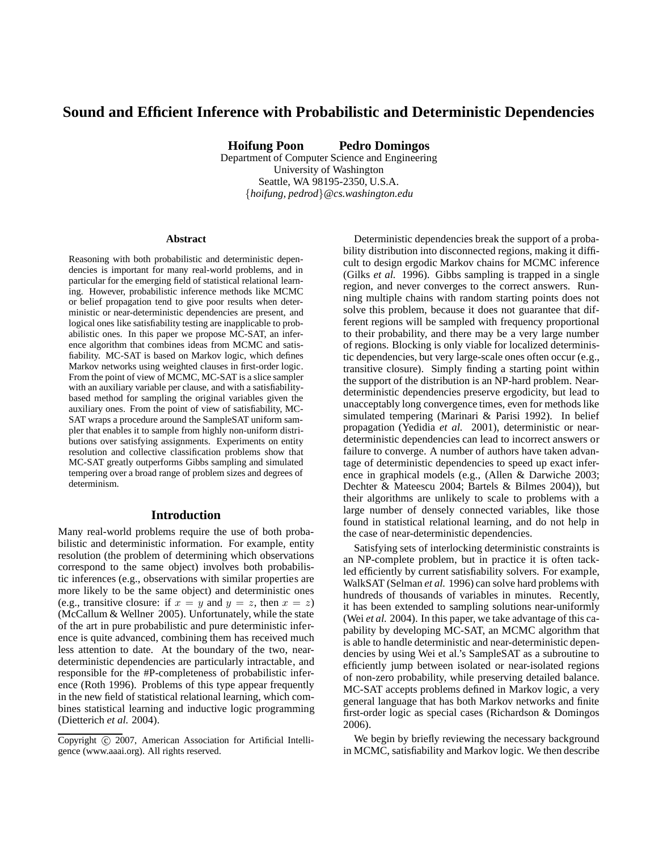# **Sound and Efficient Inference with Probabilistic and Deterministic Dependencies**

**Hoifung Poon Pedro Domingos**

Department of Computer Science and Engineering University of Washington Seattle, WA 98195-2350, U.S.A. {*hoifung, pedrod*}*@cs.washington.edu*

#### **Abstract**

Reasoning with both probabilistic and deterministic dependencies is important for many real-world problems, and in particular for the emerging field of statistical relational learning. However, probabilistic inference methods like MCMC or belief propagation tend to give poor results when deterministic or near-deterministic dependencies are present, and logical ones like satisfiability testing are inapplicable to probabilistic ones. In this paper we propose MC-SAT, an inference algorithm that combines ideas from MCMC and satisfiability. MC-SAT is based on Markov logic, which defines Markov networks using weighted clauses in first-order logic. From the point of view of MCMC, MC-SAT is a slice sampler with an auxiliary variable per clause, and with a satisfiabilitybased method for sampling the original variables given the auxiliary ones. From the point of view of satisfiability, MC-SAT wraps a procedure around the SampleSAT uniform sampler that enables it to sample from highly non-uniform distributions over satisfying assignments. Experiments on entity resolution and collective classification problems show that MC-SAT greatly outperforms Gibbs sampling and simulated tempering over a broad range of problem sizes and degrees of determinism.

## **Introduction**

Many real-world problems require the use of both probabilistic and deterministic information. For example, entity resolution (the problem of determining which observations correspond to the same object) involves both probabilistic inferences (e.g., observations with similar properties are more likely to be the same object) and deterministic ones (e.g., transitive closure: if  $x = y$  and  $y = z$ , then  $x = z$ ) (McCallum & Wellner 2005). Unfortunately, while the state of the art in pure probabilistic and pure deterministic inference is quite advanced, combining them has received much less attention to date. At the boundary of the two, neardeterministic dependencies are particularly intractable, and responsible for the #P-completeness of probabilistic inference (Roth 1996). Problems of this type appear frequently in the new field of statistical relational learning, which combines statistical learning and inductive logic programming (Dietterich *et al.* 2004).

Deterministic dependencies break the support of a probability distribution into disconnected regions, making it difficult to design ergodic Markov chains for MCMC inference (Gilks *et al.* 1996). Gibbs sampling is trapped in a single region, and never converges to the correct answers. Running multiple chains with random starting points does not solve this problem, because it does not guarantee that different regions will be sampled with frequency proportional to their probability, and there may be a very large number of regions. Blocking is only viable for localized deterministic dependencies, but very large-scale ones often occur (e.g., transitive closure). Simply finding a starting point within the support of the distribution is an NP-hard problem. Neardeterministic dependencies preserve ergodicity, but lead to unacceptably long convergence times, even for methods like simulated tempering (Marinari & Parisi 1992). In belief propagation (Yedidia *et al.* 2001), deterministic or neardeterministic dependencies can lead to incorrect answers or failure to converge. A number of authors have taken advantage of deterministic dependencies to speed up exact inference in graphical models (e.g., (Allen & Darwiche 2003; Dechter & Mateescu 2004; Bartels & Bilmes 2004)), but their algorithms are unlikely to scale to problems with a large number of densely connected variables, like those found in statistical relational learning, and do not help in the case of near-deterministic dependencies.

Satisfying sets of interlocking deterministic constraints is an NP-complete problem, but in practice it is often tackled efficiently by current satisfiability solvers. For example, WalkSAT (Selman *et al.* 1996) can solve hard problems with hundreds of thousands of variables in minutes. Recently, it has been extended to sampling solutions near-uniformly (Wei *et al.* 2004). In this paper, we take advantage of this capability by developing MC-SAT, an MCMC algorithm that is able to handle deterministic and near-deterministic dependencies by using Wei et al.'s SampleSAT as a subroutine to efficiently jump between isolated or near-isolated regions of non-zero probability, while preserving detailed balance. MC-SAT accepts problems defined in Markov logic, a very general language that has both Markov networks and finite first-order logic as special cases (Richardson & Domingos 2006).

We begin by briefly reviewing the necessary background in MCMC, satisfiability and Markov logic. We then describe

Copyright (c) 2007, American Association for Artificial Intelligence (www.aaai.org). All rights reserved.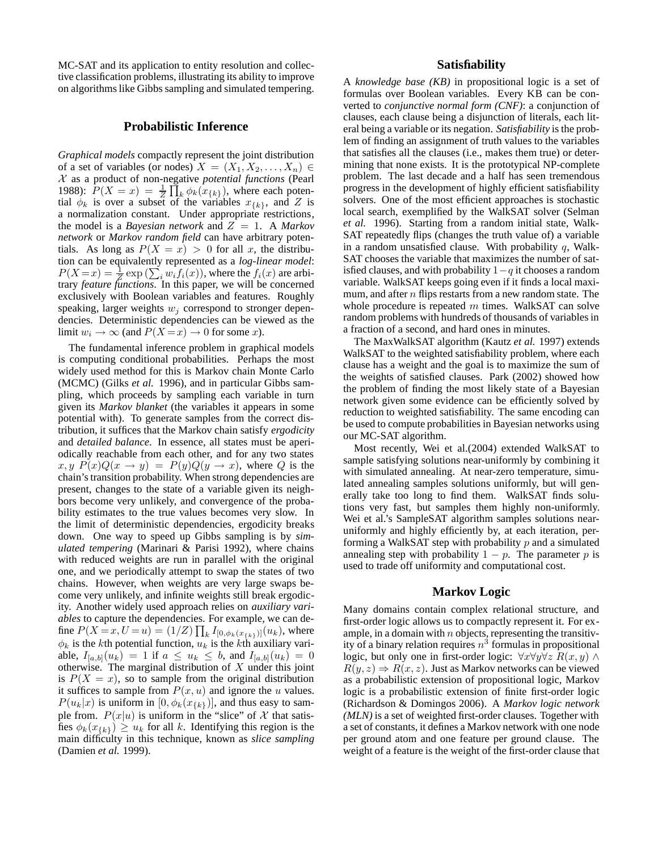MC-SAT and its application to entity resolution and collective classification problems, illustrating its ability to improve on algorithms like Gibbs sampling and simulated tempering.

## **Probabilistic Inference**

*Graphical models* compactly represent the joint distribution of a set of variables (or nodes)  $X = (X_1, X_2, \ldots, X_n) \in$ X as a product of non-negative *potential functions* (Pearl 1988):  $P(X = x) = \frac{1}{Z} \prod_k \phi_k(x_{\{k\}})$ , where each potential  $\phi_k$  is over a subset of the variables  $x_{\{k\}}$ , and Z is a normalization constant. Under appropriate restrictions, the model is a *Bayesian network* and  $Z = 1$ . A *Markov network* or *Markov random field* can have arbitrary potentials. As long as  $P(X = x) > 0$  for all x, the distribution can be equivalently represented as a *log-linear model*:  $P(X=x) = \frac{1}{Z} \exp \left( \sum_i w_i f_i(x) \right)$ , where the  $f_i(x)$  are arbitrary *feature functions*. In this paper, we will be concerned exclusively with Boolean variables and features. Roughly speaking, larger weights  $w_i$  correspond to stronger dependencies. Deterministic dependencies can be viewed as the limit  $w_i \to \infty$  (and  $P(X = x) \to 0$  for some x).

The fundamental inference problem in graphical models is computing conditional probabilities. Perhaps the most widely used method for this is Markov chain Monte Carlo (MCMC) (Gilks *et al.* 1996), and in particular Gibbs sampling, which proceeds by sampling each variable in turn given its *Markov blanket* (the variables it appears in some potential with). To generate samples from the correct distribution, it suffices that the Markov chain satisfy *ergodicity* and *detailed balance*. In essence, all states must be aperiodically reachable from each other, and for any two states  $x, y \ P(x)Q(x \to y) = P(y)Q(y \to x)$ , where Q is the chain's transition probability. When strong dependencies are present, changes to the state of a variable given its neighbors become very unlikely, and convergence of the probability estimates to the true values becomes very slow. In the limit of deterministic dependencies, ergodicity breaks down. One way to speed up Gibbs sampling is by *simulated tempering* (Marinari & Parisi 1992), where chains with reduced weights are run in parallel with the original one, and we periodically attempt to swap the states of two chains. However, when weights are very large swaps become very unlikely, and infinite weights still break ergodicity. Another widely used approach relies on *auxiliary variables* to capture the dependencies. For example, we can define  $P(X = x, U = u) = (1/Z) \prod_k I_{[0, \phi_k(x_{\{k\}})]}(u_k)$ , where  $\phi_k$  is the kth potential function,  $u_k$  is the kth auxiliary variable,  $I_{[a,b]}(u_k) = 1$  if  $a \le u_k \le b$ , and  $I_{[a,b]}(u_k) = 0$ otherwise. The marginal distribution of  $X$  under this joint is  $P(X = x)$ , so to sample from the original distribution it suffices to sample from  $P(x, u)$  and ignore the u values.  $P(u_k|x)$  is uniform in  $[0, \phi_k(x_{\{k\}})]$ , and thus easy to sample from.  $P(x|u)$  is uniform in the "slice" of X that satisfies  $\phi_k(x_{\{k\}}) \geq u_k$  for all k. Identifying this region is the main difficulty in this technique, known as *slice sampling* (Damien *et al.* 1999).

## **Satisfiability**

A *knowledge base (KB)* in propositional logic is a set of formulas over Boolean variables. Every KB can be converted to *conjunctive normal form (CNF)*: a conjunction of clauses, each clause being a disjunction of literals, each literal being a variable or its negation. *Satisfiability* is the problem of finding an assignment of truth values to the variables that satisfies all the clauses (i.e., makes them true) or determining that none exists. It is the prototypical NP-complete problem. The last decade and a half has seen tremendous progress in the development of highly efficient satisfiability solvers. One of the most efficient approaches is stochastic local search, exemplified by the WalkSAT solver (Selman *et al.* 1996). Starting from a random initial state, Walk-SAT repeatedly flips (changes the truth value of) a variable in a random unsatisfied clause. With probability  $q$ , Walk-SAT chooses the variable that maximizes the number of satisfied clauses, and with probability  $1-q$  it chooses a random variable. WalkSAT keeps going even if it finds a local maximum, and after  $n$  flips restarts from a new random state. The whole procedure is repeated  $m$  times. WalkSAT can solve random problems with hundreds of thousands of variables in a fraction of a second, and hard ones in minutes.

The MaxWalkSAT algorithm (Kautz *et al.* 1997) extends WalkSAT to the weighted satisfiability problem, where each clause has a weight and the goal is to maximize the sum of the weights of satisfied clauses. Park (2002) showed how the problem of finding the most likely state of a Bayesian network given some evidence can be efficiently solved by reduction to weighted satisfiability. The same encoding can be used to compute probabilities in Bayesian networks using our MC-SAT algorithm.

Most recently, Wei et al.(2004) extended WalkSAT to sample satisfying solutions near-uniformly by combining it with simulated annealing. At near-zero temperature, simulated annealing samples solutions uniformly, but will generally take too long to find them. WalkSAT finds solutions very fast, but samples them highly non-uniformly. Wei et al.'s SampleSAT algorithm samples solutions nearuniformly and highly efficiently by, at each iteration, performing a WalkSAT step with probability  $p$  and a simulated annealing step with probability  $1 - p$ . The parameter p is used to trade off uniformity and computational cost.

## **Markov Logic**

Many domains contain complex relational structure, and first-order logic allows us to compactly represent it. For example, in a domain with  $n$  objects, representing the transitivity of a binary relation requires  $n^3$  formulas in propositional logic, but only one in first-order logic:  $\forall x \forall y \forall z \ R(x, y) \land$  $R(y, z) \Rightarrow R(x, z)$ . Just as Markov networks can be viewed as a probabilistic extension of propositional logic, Markov logic is a probabilistic extension of finite first-order logic (Richardson & Domingos 2006). A *Markov logic network (MLN)* is a set of weighted first-order clauses. Together with a set of constants, it defines a Markov network with one node per ground atom and one feature per ground clause. The weight of a feature is the weight of the first-order clause that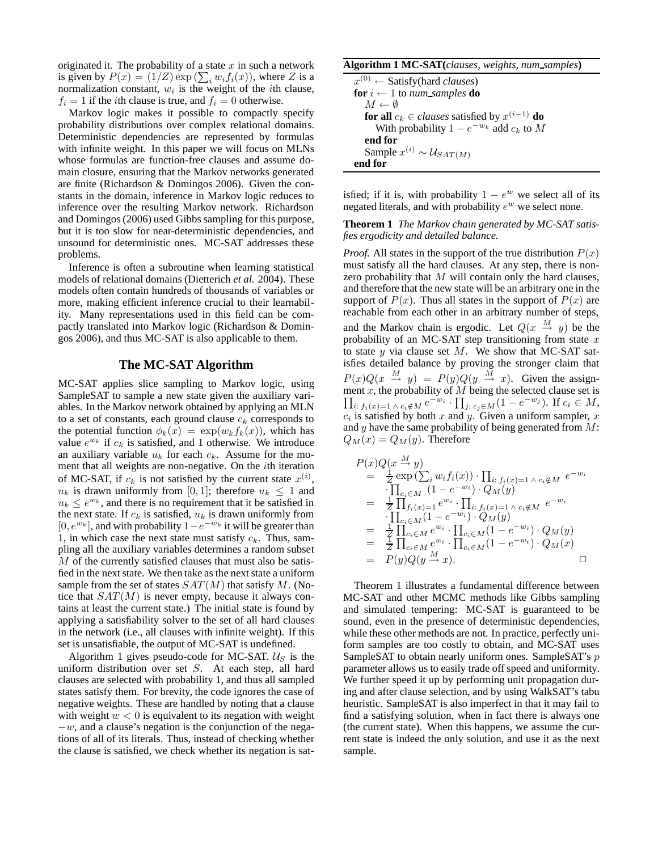originated it. The probability of a state  $x$  in such a network is given by  $P(x) = (1/Z) \exp(\sum_i w_i f_i(x))$ , where Z is a normalization constant,  $w_i$  is the weight of the *i*th clause,  $f_i = 1$  if the *i*th clause is true, and  $f_i = 0$  otherwise.

Markov logic makes it possible to compactly specify probability distributions over complex relational domains. Deterministic dependencies are represented by formulas with infinite weight. In this paper we will focus on MLNs whose formulas are function-free clauses and assume domain closure, ensuring that the Markov networks generated are finite (Richardson & Domingos 2006). Given the constants in the domain, inference in Markov logic reduces to inference over the resulting Markov network. Richardson and Domingos (2006) used Gibbs sampling for this purpose, but it is too slow for near-deterministic dependencies, and unsound for deterministic ones. MC-SAT addresses these problems.

Inference is often a subroutine when learning statistical models of relational domains (Dietterich *et al.* 2004). These models often contain hundreds of thousands of variables or more, making efficient inference crucial to their learnability. Many representations used in this field can be compactly translated into Markov logic (Richardson & Domingos 2006), and thus MC-SAT is also applicable to them.

#### **The MC-SAT Algorithm**

MC-SAT applies slice sampling to Markov logic, using SampleSAT to sample a new state given the auxiliary variables. In the Markov network obtained by applying an MLN to a set of constants, each ground clause  $c_k$  corresponds to the potential function  $\phi_k(x) = \exp(w_k f_k(x))$ , which has value  $e^{w_k}$  if  $c_k$  is satisfied, and 1 otherwise. We introduce an auxiliary variable  $u_k$  for each  $c_k$ . Assume for the moment that all weights are non-negative. On the ith iteration of MC-SAT, if  $c_k$  is not satisfied by the current state  $x^{(i)}$ ,  $u_k$  is drawn uniformly from [0, 1]; therefore  $u_k \leq 1$  and  $u_k \leq e^{w_k}$ , and there is no requirement that it be satisfied in the next state. If  $c_k$  is satisfied,  $u_k$  is drawn uniformly from [0,  $e^{w_k}$ ], and with probability  $1 - e^{-w_k}$  it will be greater than 1, in which case the next state must satisfy  $c_k$ . Thus, sampling all the auxiliary variables determines a random subset M of the currently satisfied clauses that must also be satisfied in the next state. We then take as the next state a uniform sample from the set of states  $SAT(M)$  that satisfy M. (Notice that  $SAT(M)$  is never empty, because it always contains at least the current state.) The initial state is found by applying a satisfiability solver to the set of all hard clauses in the network (i.e., all clauses with infinite weight). If this set is unsatisfiable, the output of MC-SAT is undefined.

Algorithm 1 gives pseudo-code for MC-SAT.  $U<sub>S</sub>$  is the uniform distribution over set S. At each step, all hard clauses are selected with probability 1, and thus all sampled states satisfy them. For brevity, the code ignores the case of negative weights. These are handled by noting that a clause with weight  $w < 0$  is equivalent to its negation with weight  $-w$ , and a clause's negation is the conjunction of the negations of all of its literals. Thus, instead of checking whether the clause is satisfied, we check whether its negation is sat-

#### **Algorithm 1 MC-SAT(***clauses, weights, num samples***)**

 $x^{(0)} \leftarrow$  Satisfy (hard *clauses*) **for**  $i \leftarrow 1$  to *num\_samples* **do**  $M \leftarrow \emptyset$  $\mathbf{for} \text{ all } c_k \in clauses \text{ satisfies } \text{by } x^{(i-1)} \text{ do}$ With probability  $1 - e^{-w_k}$  add  $c_k$  to M **end for** Sample  $x^{(i)} \sim \mathcal{U}_{SAT(M)}$ **end for**

isfied; if it is, with probability  $1 - e^w$  we select all of its negated literals, and with probability  $e^w$  we select none.

**Theorem 1** *The Markov chain generated by MC-SAT satisfies ergodicity and detailed balance.*

*Proof.* All states in the support of the true distribution  $P(x)$ must satisfy all the hard clauses. At any step, there is nonzero probability that  $M$  will contain only the hard clauses, and therefore that the new state will be an arbitrary one in the support of  $P(x)$ . Thus all states in the support of  $P(x)$  are reachable from each other in an arbitrary number of steps, and the Markov chain is ergodic. Let  $Q(x \stackrel{M}{\rightarrow} y)$  be the probability of an MC-SAT step transitioning from state  $x$ to state  $y$  via clause set  $M$ . We show that MC-SAT satisfies detailed balance by proving the stronger claim that  $P(x)Q(x \xrightarrow{M} y) = P(y)Q(y \xrightarrow{M} x)$ . Given the assign- $\prod$ ment  $x$ , the probability of  $M$  being the selected clause set is *i*:  $f_i(x)=1 \wedge c_i \notin M$   $e^{-w_i} \cdot \prod_{j: c_j \in M} (1 - e^{-w_j}).$  If  $c_i \in M$ ,  $c_i$  is satisfied by both x and y. Given a uniform sampler, x and y have the same probability of being generated from  $M$ :  $Q_M(x) = Q_M(y)$ . Therefore

$$
P(x)Q(x \frac{M}{2} y) \n= \frac{1}{Z} \exp (\sum_{i} w_{i} f_{i}(x)) \cdot \prod_{i: f_{i}(x)=1} \wedge c_{i} \notin M e^{-w_{i}} \n\cdot \prod_{c_{i} \in M} (1 - e^{-w_{i}}) \cdot Q_{M}(y) \n= \frac{1}{Z} \prod_{f_{i}(x)=1}^{Z} e^{w_{i}} \cdot \prod_{i: f_{i}(x)=1} \wedge c_{i} \notin M e^{-w_{i}} \n\cdot \prod_{c_{i} \in M} (1 - e^{-w_{i}}) \cdot Q_{M}(y) \n= \frac{1}{Z} \prod_{c_{i} \in M} e^{w_{i}} \cdot \prod_{c_{i} \in M} (1 - e^{-w_{i}}) \cdot Q_{M}(y) \n= \frac{1}{Z} \prod_{c_{i} \in M} e^{w_{i}} \cdot \prod_{c_{i} \in M} (1 - e^{-w_{i}}) \cdot Q_{M}(x) \n= P(y)Q(y \frac{M}{2} x).
$$

Theorem 1 illustrates a fundamental difference between MC-SAT and other MCMC methods like Gibbs sampling and simulated tempering: MC-SAT is guaranteed to be sound, even in the presence of deterministic dependencies, while these other methods are not. In practice, perfectly uniform samples are too costly to obtain, and MC-SAT uses SampleSAT to obtain nearly uniform ones. SampleSAT's p parameter allows us to easily trade off speed and uniformity. We further speed it up by performing unit propagation during and after clause selection, and by using WalkSAT's tabu heuristic. SampleSAT is also imperfect in that it may fail to find a satisfying solution, when in fact there is always one (the current state). When this happens, we assume the current state is indeed the only solution, and use it as the next sample.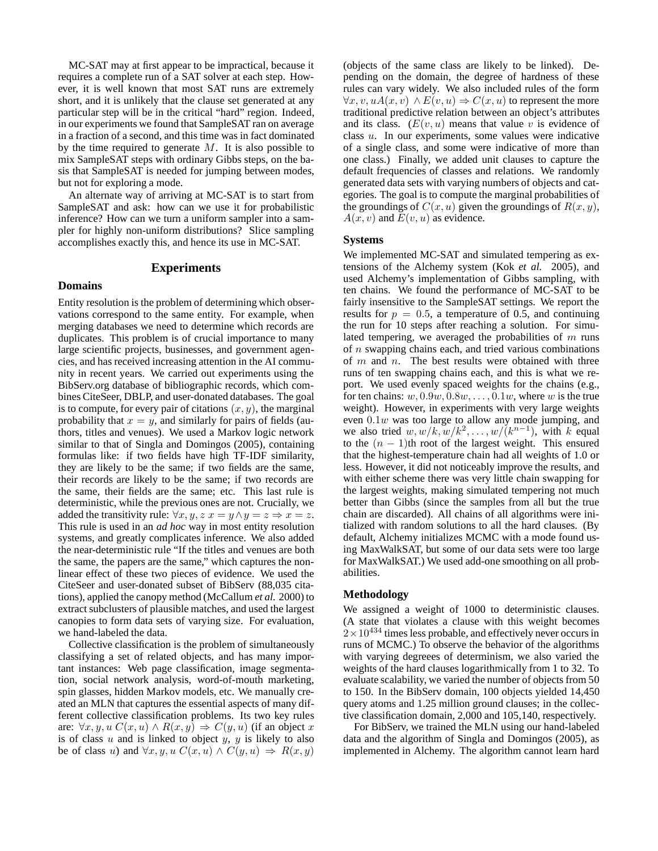MC-SAT may at first appear to be impractical, because it requires a complete run of a SAT solver at each step. However, it is well known that most SAT runs are extremely short, and it is unlikely that the clause set generated at any particular step will be in the critical "hard" region. Indeed, in our experiments we found that SampleSAT ran on average in a fraction of a second, and this time was in fact dominated by the time required to generate  $M$ . It is also possible to mix SampleSAT steps with ordinary Gibbs steps, on the basis that SampleSAT is needed for jumping between modes, but not for exploring a mode.

An alternate way of arriving at MC-SAT is to start from SampleSAT and ask: how can we use it for probabilistic inference? How can we turn a uniform sampler into a sampler for highly non-uniform distributions? Slice sampling accomplishes exactly this, and hence its use in MC-SAT.

#### **Experiments**

#### **Domains**

Entity resolution is the problem of determining which observations correspond to the same entity. For example, when merging databases we need to determine which records are duplicates. This problem is of crucial importance to many large scientific projects, businesses, and government agencies, and has received increasing attention in the AI community in recent years. We carried out experiments using the BibServ.org database of bibliographic records, which combines CiteSeer, DBLP, and user-donated databases. The goal is to compute, for every pair of citations  $(x, y)$ , the marginal probability that  $x = y$ , and similarly for pairs of fields (authors, titles and venues). We used a Markov logic network similar to that of Singla and Domingos (2005), containing formulas like: if two fields have high TF-IDF similarity, they are likely to be the same; if two fields are the same, their records are likely to be the same; if two records are the same, their fields are the same; etc. This last rule is deterministic, while the previous ones are not. Crucially, we added the transitivity rule:  $\forall x, y, z \ x = y \land y = z \Rightarrow x = z$ . This rule is used in an *ad hoc* way in most entity resolution systems, and greatly complicates inference. We also added the near-deterministic rule "If the titles and venues are both the same, the papers are the same," which captures the nonlinear effect of these two pieces of evidence. We used the CiteSeer and user-donated subset of BibServ (88,035 citations), applied the canopy method (McCallum *et al.* 2000) to extract subclusters of plausible matches, and used the largest canopies to form data sets of varying size. For evaluation, we hand-labeled the data.

Collective classification is the problem of simultaneously classifying a set of related objects, and has many important instances: Web page classification, image segmentation, social network analysis, word-of-mouth marketing, spin glasses, hidden Markov models, etc. We manually created an MLN that captures the essential aspects of many different collective classification problems. Its two key rules are:  $\forall x, y, u \ C(x, u) \land R(x, y) \Rightarrow C(y, u)$  (if an object x is of class  $u$  and is linked to object  $y$ ,  $y$  is likely to also be of class u) and  $\forall x, y, u \ C(x, u) \land C(y, u) \Rightarrow R(x, y)$ 

(objects of the same class are likely to be linked). Depending on the domain, the degree of hardness of these rules can vary widely. We also included rules of the form  $\forall x, v, uA(x, v) \wedge E(v, u) \Rightarrow C(x, u)$  to represent the more traditional predictive relation between an object's attributes and its class.  $(E(v, u))$  means that value v is evidence of class u. In our experiments, some values were indicative of a single class, and some were indicative of more than one class.) Finally, we added unit clauses to capture the default frequencies of classes and relations. We randomly generated data sets with varying numbers of objects and categories. The goal is to compute the marginal probabilities of the groundings of  $C(x, u)$  given the groundings of  $R(x, y)$ ,  $A(x, v)$  and  $E(v, u)$  as evidence.

#### **Systems**

We implemented MC-SAT and simulated tempering as extensions of the Alchemy system (Kok *et al.* 2005), and used Alchemy's implementation of Gibbs sampling, with ten chains. We found the performance of MC-SAT to be fairly insensitive to the SampleSAT settings. We report the results for  $p = 0.5$ , a temperature of 0.5, and continuing the run for 10 steps after reaching a solution. For simulated tempering, we averaged the probabilities of  $m$  runs of n swapping chains each, and tried various combinations of  $m$  and  $n$ . The best results were obtained with three runs of ten swapping chains each, and this is what we report. We used evenly spaced weights for the chains (e.g., for ten chains:  $w, 0.9w, 0.8w, \ldots, 0.1w$ , where w is the true weight). However, in experiments with very large weights even  $0.1w$  was too large to allow any mode jumping, and we also tried  $w, w/k, w/k^2, \ldots, w/(k^{n-1})$ , with k equal to the  $(n - 1)$ th root of the largest weight. This ensured that the highest-temperature chain had all weights of 1.0 or less. However, it did not noticeably improve the results, and with either scheme there was very little chain swapping for the largest weights, making simulated tempering not much better than Gibbs (since the samples from all but the true chain are discarded). All chains of all algorithms were initialized with random solutions to all the hard clauses. (By default, Alchemy initializes MCMC with a mode found using MaxWalkSAT, but some of our data sets were too large for MaxWalkSAT.) We used add-one smoothing on all probabilities.

#### **Methodology**

We assigned a weight of 1000 to deterministic clauses. (A state that violates a clause with this weight becomes  $2\times10^{434}$  times less probable, and effectively never occurs in runs of MCMC.) To observe the behavior of the algorithms with varying degreees of determinism, we also varied the weights of the hard clauses logarithmically from 1 to 32. To evaluate scalability, we varied the number of objects from 50 to 150. In the BibServ domain, 100 objects yielded 14,450 query atoms and 1.25 million ground clauses; in the collective classification domain, 2,000 and 105,140, respectively.

For BibServ, we trained the MLN using our hand-labeled data and the algorithm of Singla and Domingos (2005), as implemented in Alchemy. The algorithm cannot learn hard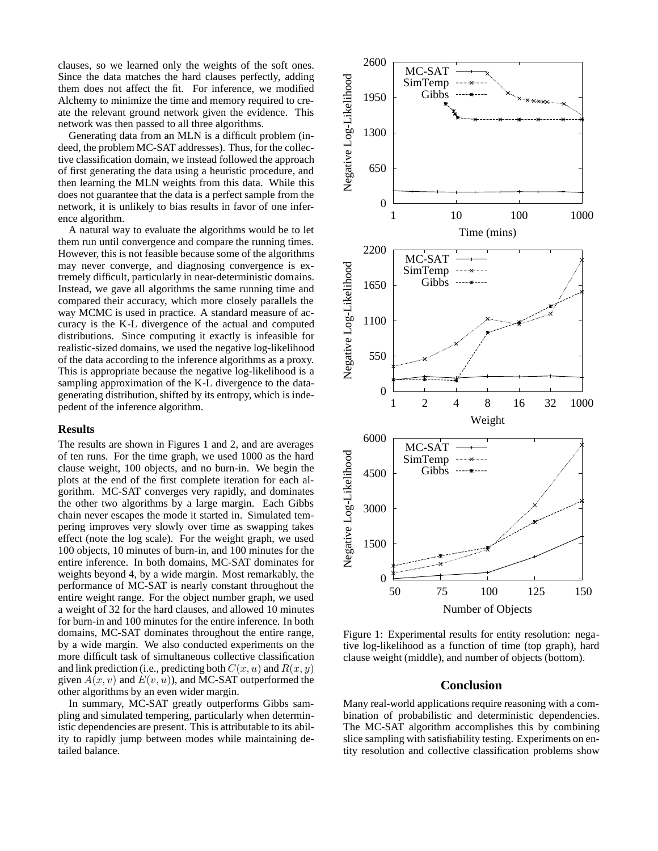clauses, so we learned only the weights of the soft ones. Since the data matches the hard clauses perfectly, adding them does not affect the fit. For inference, we modified Alchemy to minimize the time and memory required to create the relevant ground network given the evidence. This network was then passed to all three algorithms.

Generating data from an MLN is a difficult problem (indeed, the problem MC-SAT addresses). Thus, for the collective classification domain, we instead followed the approach of first generating the data using a heuristic procedure, and then learning the MLN weights from this data. While this does not guarantee that the data is a perfect sample from the network, it is unlikely to bias results in favor of one inference algorithm.

A natural way to evaluate the algorithms would be to let them run until convergence and compare the running times. However, this is not feasible because some of the algorithms may never converge, and diagnosing convergence is extremely difficult, particularly in near-deterministic domains. Instead, we gave all algorithms the same running time and compared their accuracy, which more closely parallels the way MCMC is used in practice. A standard measure of accuracy is the K-L divergence of the actual and computed distributions. Since computing it exactly is infeasible for realistic-sized domains, we used the negative log-likelihood of the data according to the inference algorithms as a proxy. This is appropriate because the negative log-likelihood is a sampling approximation of the K-L divergence to the datagenerating distribution, shifted by its entropy, which is indepedent of the inference algorithm.

#### **Results**

The results are shown in Figures 1 and 2, and are averages of ten runs. For the time graph, we used 1000 as the hard clause weight, 100 objects, and no burn-in. We begin the plots at the end of the first complete iteration for each algorithm. MC-SAT converges very rapidly, and dominates the other two algorithms by a large margin. Each Gibbs chain never escapes the mode it started in. Simulated tempering improves very slowly over time as swapping takes effect (note the log scale). For the weight graph, we used 100 objects, 10 minutes of burn-in, and 100 minutes for the entire inference. In both domains, MC-SAT dominates for weights beyond 4, by a wide margin. Most remarkably, the performance of MC-SAT is nearly constant throughout the entire weight range. For the object number graph, we used a weight of 32 for the hard clauses, and allowed 10 minutes for burn-in and 100 minutes for the entire inference. In both domains, MC-SAT dominates throughout the entire range, by a wide margin. We also conducted experiments on the more difficult task of simultaneous collective classification and link prediction (i.e., predicting both  $C(x, u)$  and  $R(x, y)$ given  $A(x, v)$  and  $E(v, u)$ , and MC-SAT outperformed the other algorithms by an even wider margin.

In summary, MC-SAT greatly outperforms Gibbs sampling and simulated tempering, particularly when deterministic dependencies are present. This is attributable to its ability to rapidly jump between modes while maintaining detailed balance.



Figure 1: Experimental results for entity resolution: negative log-likelihood as a function of time (top graph), hard clause weight (middle), and number of objects (bottom).

## **Conclusion**

Many real-world applications require reasoning with a combination of probabilistic and deterministic dependencies. The MC-SAT algorithm accomplishes this by combining slice sampling with satisfiability testing. Experiments on entity resolution and collective classification problems show